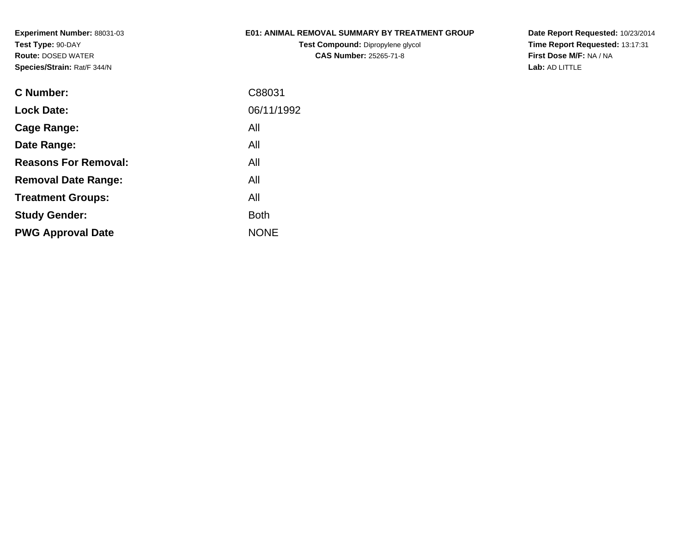### **E01: ANIMAL REMOVAL SUMMARY BY TREATMENT GROUP**

**Test Compound:** Dipropylene glycol **CAS Number:** 25265-71-8

**Date Report Requested:** 10/23/2014 **Time Report Requested:** 13:17:31**First Dose M/F:** NA / NA**Lab:** AD LITTLE

| C Number:                   | C88031      |
|-----------------------------|-------------|
| <b>Lock Date:</b>           | 06/11/1992  |
| Cage Range:                 | All         |
| Date Range:                 | All         |
| <b>Reasons For Removal:</b> | All         |
| <b>Removal Date Range:</b>  | All         |
| <b>Treatment Groups:</b>    | All         |
| <b>Study Gender:</b>        | <b>Both</b> |
| <b>PWG Approval Date</b>    | <b>NONE</b> |
|                             |             |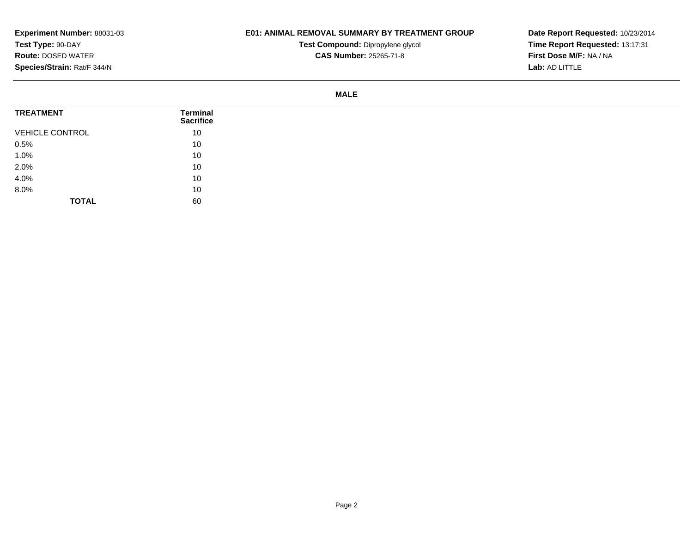# **E01: ANIMAL REMOVAL SUMMARY BY TREATMENT GROUP**

**Test Compound:** Dipropylene glycol **CAS Number:** 25265-71-8

**Date Report Requested:** 10/23/2014 **Time Report Requested:** 13:17:31**First Dose M/F:** NA / NA**Lab:** AD LITTLE

#### **MALE**

| <b>TREATMENT</b>       | Terminal<br><b>Sacrifice</b> |
|------------------------|------------------------------|
| <b>VEHICLE CONTROL</b> | 10                           |
| 0.5%                   | 10                           |
| 1.0%                   | 10                           |
| 2.0%                   | 10                           |
| 4.0%                   | 10                           |
| 8.0%                   | 10                           |
| <b>TOTAL</b>           | 60                           |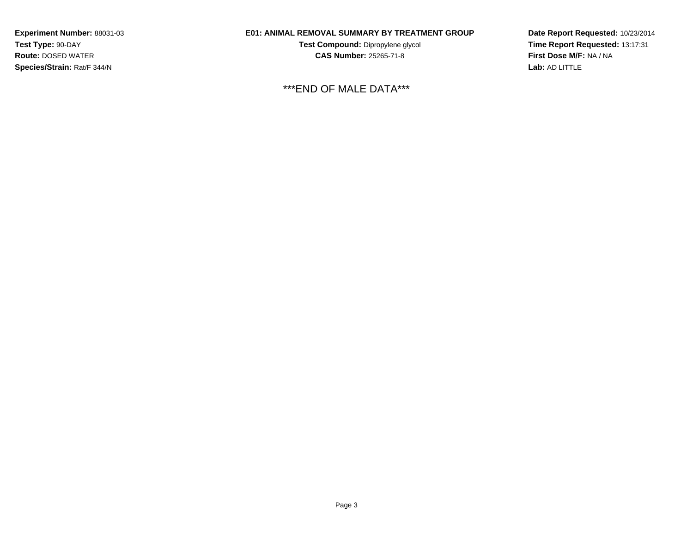# **E01: ANIMAL REMOVAL SUMMARY BY TREATMENT GROUP**

**Test Compound:** Dipropylene glycol **CAS Number:** 25265-71-8

\*\*\*END OF MALE DATA\*\*\*

**Date Report Requested:** 10/23/2014**Time Report Requested:** 13:17:31**First Dose M/F:** NA / NA**Lab:** AD LITTLE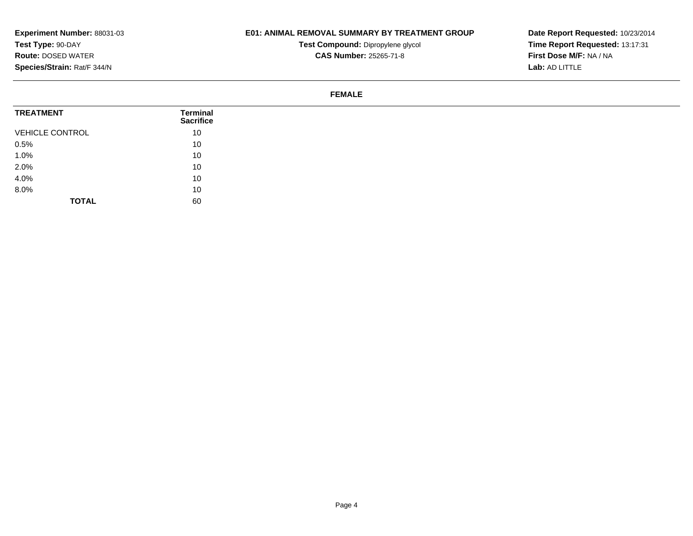# **E01: ANIMAL REMOVAL SUMMARY BY TREATMENT GROUP**

**Test Compound:** Dipropylene glycol **CAS Number:** 25265-71-8

**Date Report Requested:** 10/23/2014 **Time Report Requested:** 13:17:31**First Dose M/F:** NA / NA**Lab:** AD LITTLE

#### **FEMALE**

| <b>TREATMENT</b>       | Terminal<br><b>Sacrifice</b> |
|------------------------|------------------------------|
| <b>VEHICLE CONTROL</b> | 10                           |
| 0.5%                   | 10                           |
| 1.0%                   | 10                           |
| 2.0%                   | 10                           |
| 4.0%                   | 10                           |
| 8.0%                   | 10                           |
| <b>TOTAL</b>           | 60                           |